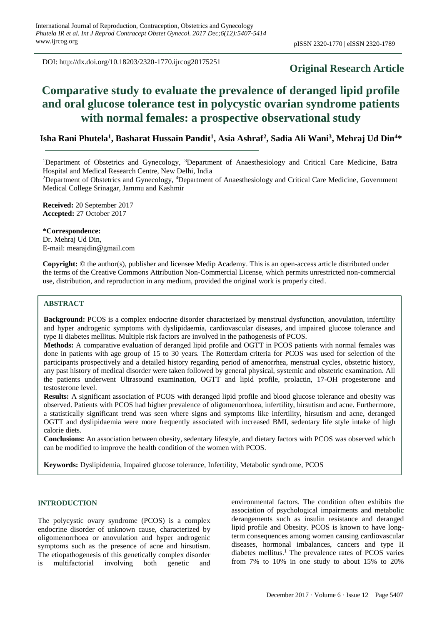DOI: http://dx.doi.org/10.18203/2320-1770.ijrcog20175251

## **Original Research Article**

# **Comparative study to evaluate the prevalence of deranged lipid profile and oral glucose tolerance test in polycystic ovarian syndrome patients with normal females: a prospective observational study**

### **Isha Rani Phutela<sup>1</sup> , Basharat Hussain Pandit<sup>1</sup> , Asia Ashraf<sup>2</sup> , Sadia Ali Wani<sup>3</sup> , Mehraj Ud Din<sup>4</sup>\***

<sup>1</sup>Department of Obstetrics and Gynecology, <sup>3</sup>Department of Anaesthesiology and Critical Care Medicine, Batra Hospital and Medical Research Centre, New Delhi, India

<sup>2</sup>Department of Obstetrics and Gynecology, <sup>4</sup>Department of Anaesthesiology and Critical Care Medicine, Government Medical College Srinagar, Jammu and Kashmir

**Received:** 20 September 2017 **Accepted:** 27 October 2017

**\*Correspondence:** Dr. Mehraj Ud Din, E-mail: mearajdin@gmail.com

**Copyright:** © the author(s), publisher and licensee Medip Academy. This is an open-access article distributed under the terms of the Creative Commons Attribution Non-Commercial License, which permits unrestricted non-commercial use, distribution, and reproduction in any medium, provided the original work is properly cited.

#### **ABSTRACT**

**Background:** PCOS is a complex endocrine disorder characterized by menstrual dysfunction, anovulation, infertility and hyper androgenic symptoms with dyslipidaemia, cardiovascular diseases, and impaired glucose tolerance and type II diabetes mellitus. Multiple risk factors are involved in the pathogenesis of PCOS.

**Methods:** A comparative evaluation of deranged lipid profile and OGTT in PCOS patients with normal females was done in patients with age group of 15 to 30 years. The Rotterdam criteria for PCOS was used for selection of the participants prospectively and a detailed history regarding period of amenorrhea, menstrual cycles, obstetric history, any past history of medical disorder were taken followed by general physical, systemic and obstetric examination. All the patients underwent Ultrasound examination, OGTT and lipid profile, prolactin, 17-OH progesterone and testosterone level.

**Results:** A significant association of PCOS with deranged lipid profile and blood glucose tolerance and obesity was observed. Patients with PCOS had higher prevalence of oligomenorrhoea, infertility, hirsutism and acne. Furthermore, a statistically significant trend was seen where signs and symptoms like infertility, hirsutism and acne, deranged OGTT and dyslipidaemia were more frequently associated with increased BMI, sedentary life style intake of high calorie diets.

**Conclusions:** An association between obesity, sedentary lifestyle, and dietary factors with PCOS was observed which can be modified to improve the health condition of the women with PCOS.

**Keywords:** Dyslipidemia, Impaired glucose tolerance, Infertility, Metabolic syndrome, PCOS

#### **INTRODUCTION**

The polycystic ovary syndrome (PCOS) is a complex endocrine disorder of unknown cause, characterized by oligomenorrhoea or anovulation and hyper androgenic symptoms such as the presence of acne and hirsutism. The etiopathogenesis of this genetically complex disorder is multifactorial involving both genetic and environmental factors. The condition often exhibits the association of psychological impairments and metabolic derangements such as insulin resistance and deranged lipid profile and Obesity. PCOS is known to have longterm consequences among women causing cardiovascular diseases, hormonal imbalances, cancers and type II diabetes mellitus.<sup>1</sup> The prevalence rates of PCOS varies from 7% to 10% in one study to about 15% to 20%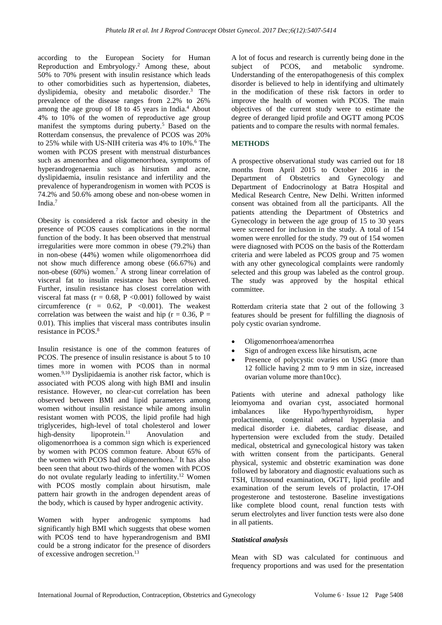according to the European Society for Human Reproduction and Embryology.<sup>2</sup> Among these, about 50% to 70% present with insulin resistance which leads to other comorbidities such as hypertension, diabetes, dyslipidemia, obesity and metabolic disorder.<sup>3</sup> The prevalence of the disease ranges from 2.2% to 26% among the age group of  $18$  to  $45$  years in India.<sup>4</sup> About 4% to 10% of the women of reproductive age group manifest the symptoms during puberty.<sup>5</sup> Based on the Rotterdam consensus, the prevalence of PCOS was 20% to 25% while with US-NIH criteria was  $4\%$  to  $10\%$ .<sup>6</sup> The women with PCOS present with menstrual disturbances such as amenorrhea and oligomenorrhoea, symptoms of hyperandrogenaemia such as hirsutism and acne, dyslipidaemia, insulin resistance and infertility and the prevalence of hyperandrogenism in women with PCOS is 74.2% and 50.6% among obese and non-obese women in India.<sup>7</sup>

Obesity is considered a risk factor and obesity in the presence of PCOS causes complications in the normal function of the body. It has been observed that menstrual irregularities were more common in obese (79.2%) than in non-obese (44%) women while oligomenorrhoea did not show much difference among obese (66.67%) and non-obese (60%) women.<sup>7</sup> A strong linear correlation of visceral fat to insulin resistance has been observed. Further, insulin resistance has closest correlation with visceral fat mass ( $r = 0.68$ ,  $P < 0.001$ ) followed by waist circumference  $(r = 0.62, P < 0.001)$ . The weakest correlation was between the waist and hip ( $r = 0.36$ ,  $P =$ 0.01). This implies that visceral mass contributes insulin resistance in PCOS.<sup>8</sup>

Insulin resistance is one of the common features of PCOS. The presence of insulin resistance is about 5 to 10 times more in women with PCOS than in normal women.9,10 Dyslipidaemia is another risk factor, which is associated with PCOS along with high BMI and insulin resistance. However, no clear-cut correlation has been observed between BMI and lipid parameters among women without insulin resistance while among insulin resistant women with PCOS, the lipid profile had high triglycerides, high-level of total cholesterol and lower high-density lipoprotein.<sup>11</sup> Anovulation and oligomenorrhoea is a common sign which is experienced by women with PCOS common feature. About 65% of the women with PCOS had oligomenorrhoea.<sup>7</sup> It has also been seen that about two-thirds of the women with PCOS do not ovulate regularly leading to infertility.<sup>12</sup> Women with PCOS mostly complain about hirsutism, male pattern hair growth in the androgen dependent areas of the body, which is caused by hyper androgenic activity.

Women with hyper androgenic symptoms had significantly high BMI which suggests that obese women with PCOS tend to have hyperandrogenism and BMI could be a strong indicator for the presence of disorders of excessive androgen secretion.<sup>13</sup>

A lot of focus and research is currently being done in the subject of PCOS, and metabolic syndrome. Understanding of the enteropathogenesis of this complex disorder is believed to help in identifying and ultimately in the modification of these risk factors in order to improve the health of women with PCOS. The main objectives of the current study were to estimate the degree of deranged lipid profile and OGTT among PCOS patients and to compare the results with normal females.

#### **METHODS**

A prospective observational study was carried out for 18 months from April 2015 to October 2016 in the Department of Obstetrics and Gynecology and Department of Endocrinology at Batra Hospital and Medical Research Centre, New Delhi. Written informed consent was obtained from all the participants. All the patients attending the Department of Obstetrics and Gynecology in between the age group of 15 to 30 years were screened for inclusion in the study. A total of 154 women were enrolled for the study. 79 out of 154 women were diagnosed with PCOS on the basis of the Rotterdam criteria and were labeled as PCOS group and 75 women with any other gynecological complaints were randomly selected and this group was labeled as the control group. The study was approved by the hospital ethical committee.

Rotterdam criteria state that 2 out of the following 3 features should be present for fulfilling the diagnosis of poly cystic ovarian syndrome.

- Oligomenorrhoea/amenorrhea
- Sign of androgen excess like hirsutism, acne
- Presence of polycystic ovaries on USG (more than 12 follicle having 2 mm to 9 mm in size, increased ovarian volume more than10cc).

Patients with uterine and adnexal pathology like leiomyoma and ovarian cyst, associated hormonal imbalances like Hypo/hyperthyroidism, hyper prolactinemia, congenital adrenal hyperplasia and medical disorder i.e. diabetes, cardiac disease, and hypertension were excluded from the study. Detailed medical, obstetrical and gynecological history was taken with written consent from the participants. General physical, systemic and obstetric examination was done followed by laboratory and diagnostic evaluations such as TSH, Ultrasound examination, OGTT, lipid profile and examination of the serum levels of prolactin, 17-OH progesterone and testosterone. Baseline investigations like complete blood count, renal function tests with serum electrolytes and liver function tests were also done in all patients.

#### *Statistical analysis*

Mean with SD was calculated for continuous and frequency proportions and was used for the presentation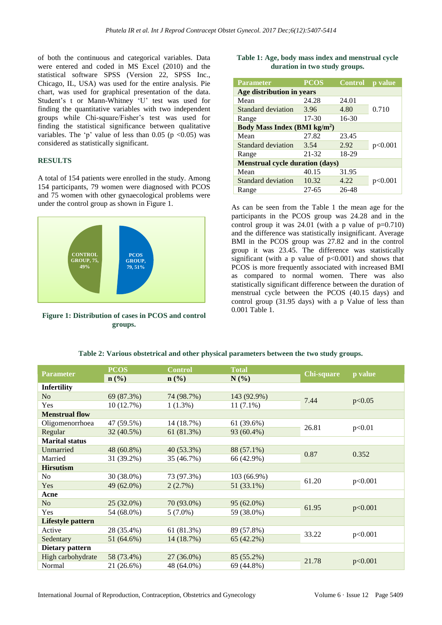of both the continuous and categorical variables. Data were entered and coded in MS Excel (2010) and the statistical software SPSS (Version 22, SPSS Inc., Chicago, IL, USA) was used for the entire analysis. Pie chart, was used for graphical presentation of the data. Student's t or Mann-Whitney 'U' test was used for finding the quantitative variables with two independent groups while Chi-square/Fisher's test was used for finding the statistical significance between qualitative variables. The 'p' value of less than 0.05 (p  $<0.05$ ) was considered as statistically significant.

#### **RESULTS**

A total of 154 patients were enrolled in the study. Among 154 participants, 79 women were diagnosed with PCOS and 75 women with other gynaecological problems were under the control group as shown in Figure 1.



**Figure 1: Distribution of cases in PCOS and control groups.**

|  |  |                               | Table 1: Age, body mass index and menstrual cycle |  |
|--|--|-------------------------------|---------------------------------------------------|--|
|  |  | duration in two study groups. |                                                   |  |

| <b>Parameter</b>                       | $\overline{\mathbf{PCOS}}$                    | <b>Control</b> | p value |  |  |  |  |  |  |  |
|----------------------------------------|-----------------------------------------------|----------------|---------|--|--|--|--|--|--|--|
| Age distribution in years              |                                               |                |         |  |  |  |  |  |  |  |
| Mean                                   | 24.28                                         | 24.01          |         |  |  |  |  |  |  |  |
| Standard deviation                     | 3.96                                          | 4.80           | 0.710   |  |  |  |  |  |  |  |
| Range                                  | 17-30                                         | $16 - 30$      |         |  |  |  |  |  |  |  |
|                                        | <b>Body Mass Index (BMI kg/m<sup>2</sup>)</b> |                |         |  |  |  |  |  |  |  |
| Mean                                   | 27.82                                         | 23.45          |         |  |  |  |  |  |  |  |
| Standard deviation                     | 3.54                                          | 2.92           | p<0.001 |  |  |  |  |  |  |  |
| Range                                  | 21-32                                         | 18-29          |         |  |  |  |  |  |  |  |
| <b>Menstrual cycle duration (days)</b> |                                               |                |         |  |  |  |  |  |  |  |
| Mean                                   | 40.15                                         | 31.95          |         |  |  |  |  |  |  |  |
| <b>Standard deviation</b>              | 10.32                                         | 4.22           | p<0.001 |  |  |  |  |  |  |  |
| Range                                  | $27 - 65$                                     | 26-48          |         |  |  |  |  |  |  |  |

As can be seen from the Table 1 the mean age for the participants in the PCOS group was 24.28 and in the control group it was  $24.01$  (with a p value of  $p=0.710$ ) and the difference was statistically insignificant. Average BMI in the PCOS group was 27.82 and in the control group it was 23.45. The difference was statistically significant (with a p value of  $p<0.001$ ) and shows that PCOS is more frequently associated with increased BMI as compared to normal women. There was also statistically significant difference between the duration of menstrual cycle between the PCOS (40.15 days) and control group (31.95 days) with a p Value of less than 0.001 Table 1.

| <b>Parameter</b>      | <b>PCOS</b>  | <b>Control</b>              | <b>Total</b> | Chi-square | p value |  |
|-----------------------|--------------|-----------------------------|--------------|------------|---------|--|
|                       | $n$ (%)      | $\mathbf{n}(\%)$<br>$N(\%)$ |              |            |         |  |
| <b>Infertility</b>    |              |                             |              |            |         |  |
| No                    | 69 (87.3%)   | 74 (98.7%)                  | 143 (92.9%)  | 7.44       | p<0.05  |  |
| Yes                   | 10(12.7%)    | $1(1.3\%)$                  | $11(7.1\%)$  |            |         |  |
| <b>Menstrual flow</b> |              |                             |              |            |         |  |
| Oligomenorrhoea       | 47 (59.5%)   | 14 (18.7%)                  | 61 (39.6%)   | 26.81      |         |  |
| Regular               | 32 (40.5%)   | 61 (81.3%)                  | 93 (60.4%)   |            | p<0.01  |  |
| <b>Marital status</b> |              |                             |              |            |         |  |
| Unmarried             | 48 (60.8%)   | $40(53.3\%)$                | 88 (57.1%)   | 0.87       | 0.352   |  |
| Married               | 31 (39.2%)   | 35 (46.7%)                  | 66 (42.9%)   |            |         |  |
| <b>Hirsutism</b>      |              |                             |              |            |         |  |
| N <sub>0</sub>        | 30 (38.0%)   | 73 (97.3%)                  | 103 (66.9%)  |            |         |  |
| Yes                   | 49 (62.0%)   | 2(2.7%)                     | 51 (33.1%)   | 61.20      | p<0.001 |  |
| Acne                  |              |                             |              |            |         |  |
| N <sub>o</sub>        | $25(32.0\%)$ | 70 (93.0%)                  | 95 (62.0%)   | 61.95      | p<0.001 |  |
| Yes                   | 54 (68.0%)   | $5(7.0\%)$                  | 59 (38.0%)   |            |         |  |
| Lifestyle pattern     |              |                             |              |            |         |  |
| Active                | 28 (35.4%)   | 61 (81.3%)                  | 89 (57.8%)   |            |         |  |
| Sedentary             | 51 (64.6%)   | 14 (18.7%)                  | 65 (42.2%)   | 33.22      | p<0.001 |  |
| Dietary pattern       |              |                             |              |            |         |  |
| High carbohydrate     | 58 (73.4%)   | 27 (36.0%)                  | 85 (55.2%)   | 21.78      |         |  |
| Normal                | 21 (26.6%)   | 48 (64.0%)                  | 69 (44.8%)   |            | p<0.001 |  |

**Table 2: Various obstetrical and other physical parameters between the two study groups.**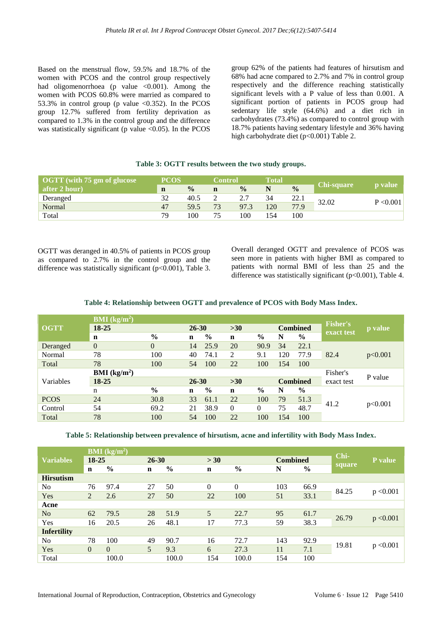Based on the menstrual flow, 59.5% and 18.7% of the women with PCOS and the control group respectively had oligomenorrhoea (p value  $\leq 0.001$ ). Among the women with PCOS 60.8% were married as compared to 53.3% in control group (p value  $\langle 0.352 \rangle$ ). In the PCOS group 12.7% suffered from fertility deprivation as compared to 1.3% in the control group and the difference was statistically significant (p value  $\langle 0.05 \rangle$ ). In the PCOS

group 62% of the patients had features of hirsutism and 68% had acne compared to 2.7% and 7% in control group respectively and the difference reaching statistically significant levels with a P value of less than 0.001. A significant portion of patients in PCOS group had sedentary life style (64.6%) and a diet rich in carbohydrates (73.4%) as compared to control group with 18.7% patients having sedentary lifestyle and 36% having high carbohydrate diet (p<0.001) Table 2.

| $\sqrt{0}$ OGTT (with $75 \text{ gm}$ of glucose | <b>PCOS</b> |               |    | <b>Control</b> |     |               |            |                |
|--------------------------------------------------|-------------|---------------|----|----------------|-----|---------------|------------|----------------|
| after 2 hour)                                    | $\mathbf n$ | $\frac{0}{0}$ | n  | $\frac{0}{0}$  |     | $\frac{0}{0}$ | Chi-square | <b>p</b> value |
| Deranged                                         | 32          | 40.5          |    | 2.7            | 34  | 22.1          | 32.02      | P < 0.001      |
| Normal                                           | 47          | 59.5          | 73 | 97.3           | 120 | 77.9          |            |                |
| Total                                            | 79          | 100           | 75 | 100            | 154 | 100           |            |                |

#### **Table 3: OGTT results between the two study groups.**

OGTT was deranged in 40.5% of patients in PCOS group as compared to 2.7% in the control group and the difference was statistically significant  $(p<0.001)$ , Table 3. Overall deranged OGTT and prevalence of PCOS was seen more in patients with higher BMI as compared to patients with normal BMI of less than 25 and the difference was statistically significant (p<0.001), Table 4.

**Table 4: Relationship between OGTT and prevalence of PCOS with Body Mass Index.**

|             | <b>BMI</b> ( $kg/m2$ ) |               |             |               |             |               |                 |                 |                               |         |
|-------------|------------------------|---------------|-------------|---------------|-------------|---------------|-----------------|-----------------|-------------------------------|---------|
| <b>OGTT</b> | 18-25                  |               |             | $26 - 30$     | $>30$       |               | <b>Combined</b> |                 | <b>Fisher's</b><br>exact test | p value |
|             | $\mathbf n$            | $\frac{0}{0}$ | $\mathbf n$ | $\frac{0}{0}$ | n           | $\frac{0}{0}$ | N               | $\frac{0}{0}$   |                               |         |
| Deranged    | $\overline{0}$         | $\theta$      | 14          | 25.9          | 20          | 90.9          | 34              | 22.1            |                               |         |
| Normal      | 78                     | 100           | 40          | 74.1          | 2           | 9.1           | 120             | 77.9            | 82.4                          | p<0.001 |
| Total       | 78                     | 100           | 54          | 100           | 22          | 100           | 154             | 100             |                               |         |
|             | <b>BMI</b> ( $kg/m2$ ) |               |             |               |             |               |                 |                 | Fisher's                      | P value |
| Variables   | $18 - 25$              |               | $26 - 30$   |               | $>30$       |               |                 | <b>Combined</b> | exact test                    |         |
|             | n                      | $\frac{0}{0}$ | $\mathbf n$ | $\frac{6}{6}$ | $\mathbf n$ | $\%$          | N               | $\%$            |                               |         |
| <b>PCOS</b> | 24                     | 30.8          | 33          | 61.1          | 22          | 100           | 79              | 51.3            | 41.2                          | p<0.001 |
| Control     | 54                     | 69.2          | 21          | 38.9          | $\theta$    | 0             | 75              | 48.7            |                               |         |
| Total       | 78                     | 100           | 54          | 100           | 22          | 100           | 154             | 100             |                               |         |

**Table 5: Relationship between prevalence of hirsutism, acne and infertility with Body Mass Index.**

|                    |             | <b>BMI</b> ( $kg/m2$ ) |                |               |             |                |                 |               |        |                |
|--------------------|-------------|------------------------|----------------|---------------|-------------|----------------|-----------------|---------------|--------|----------------|
| <b>Variables</b>   | 18-25       |                        | $26 - 30$      |               | > 30        |                | <b>Combined</b> |               | Chi-   | <b>P</b> value |
|                    | $\mathbf n$ | $\frac{6}{9}$          | $\mathbf n$    | $\frac{0}{0}$ | $\mathbf n$ | $\frac{0}{0}$  | N               | $\frac{6}{9}$ | square |                |
| <b>Hirsutism</b>   |             |                        |                |               |             |                |                 |               |        |                |
| N <sub>0</sub>     | 76          | 97.4                   | 27             | 50            | $\Omega$    | $\overline{0}$ | 103             | 66.9          |        |                |
| Yes                | 2           | 2.6                    | 27             | 50            | 22          | 100            | 51              | 33.1          | 84.25  | p < 0.001      |
| Acne               |             |                        |                |               |             |                |                 |               |        |                |
| N <sub>o</sub>     | 62          | 79.5                   | 28             | 51.9          | 5           | 22.7           | 95              | 61.7          |        |                |
| Yes                | 16          | 20.5                   | 26             | 48.1          | 17          | 77.3           | 59              | 38.3          | 26.79  | p < 0.001      |
| <b>Infertility</b> |             |                        |                |               |             |                |                 |               |        |                |
| N <sub>0</sub>     | 78          | 100                    | 49             | 90.7          | 16          | 72.7           | 143             | 92.9          |        |                |
| Yes                | $\theta$    | $\Omega$               | $\mathfrak{H}$ | 9.3           | 6           | 27.3           | 11              | 7.1           | 19.81  | p < 0.001      |
| Total              |             | 100.0                  |                | 100.0         | 154         | 100.0          | 154             | 100           |        |                |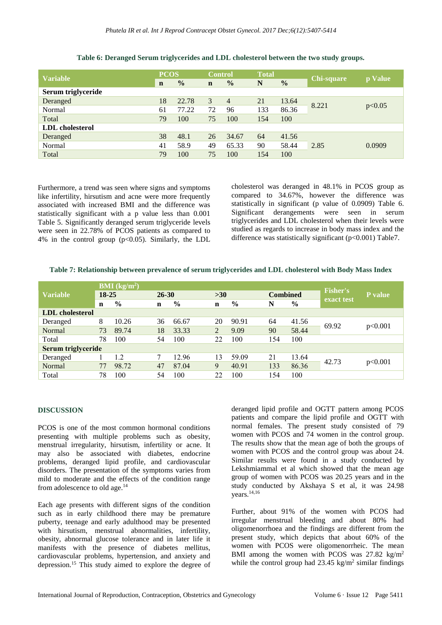|                        | <b>PCOS</b> |               | <b>Control</b> |                | <b>Total</b> |               |            |         |  |
|------------------------|-------------|---------------|----------------|----------------|--------------|---------------|------------|---------|--|
| <b>Variable</b>        | $\mathbf n$ | $\frac{0}{0}$ | $\mathbf n$    | $\frac{0}{0}$  | N            | $\frac{0}{0}$ | Chi-square | p Value |  |
| Serum triglyceride     |             |               |                |                |              |               |            |         |  |
| Deranged               | 18          | 22.78         | 3              | $\overline{4}$ | 21           | 13.64         | 8.221      | p<0.05  |  |
| Normal                 | 61          | 77.22         | 72             | 96             | 133          | 86.36         |            |         |  |
| Total                  | 79          | 100           | 75             | 100            | 154          | 100           |            |         |  |
| <b>LDL</b> cholesterol |             |               |                |                |              |               |            |         |  |
| Deranged               | 38          | 48.1          | 26             | 34.67          | 64           | 41.56         |            |         |  |
| Normal                 | 41          | 58.9          | 49             | 65.33          | 90           | 58.44         | 2.85       | 0.0909  |  |
| Total                  | 79          | 100           | 75             | 100            | 154          | 100           |            |         |  |

**Table 6: Deranged Serum triglycerides and LDL cholesterol between the two study groups.**

Furthermore, a trend was seen where signs and symptoms like infertility, hirsutism and acne were more frequently associated with increased BMI and the difference was statistically significant with a p value less than 0.001 Table 5. Significantly deranged serum triglyceride levels were seen in 22.78% of PCOS patients as compared to 4% in the control group  $(p<0.05)$ . Similarly, the LDL cholesterol was deranged in 48.1% in PCOS group as compared to 34.67%, however the difference was statistically in significant (p value of 0.0909) Table 6. Significant derangements were seen in serum triglycerides and LDL cholesterol when their levels were studied as regards to increase in body mass index and the difference was statistically significant ( $p<0.001$ ) Table7.

|  | Table 7: Relationship between prevalence of serum triglycerides and LDL cholesterol with Body Mass Index |
|--|----------------------------------------------------------------------------------------------------------|
|  |                                                                                                          |

|                        | <b>BMI</b> ( $kg/m2$ ) |       |    |               |             |               |     |                 |                               |         |
|------------------------|------------------------|-------|----|---------------|-------------|---------------|-----|-----------------|-------------------------------|---------|
| <b>Variable</b>        | $18 - 25$              |       |    | $26 - 30$     |             | $>30$         |     | <b>Combined</b> | <b>Fisher's</b><br>exact test | P value |
|                        | $\mathbf n$            | $\%$  | n  | $\frac{6}{9}$ | $\mathbf n$ | $\frac{0}{0}$ | N   | $\frac{6}{6}$   |                               |         |
| <b>LDL</b> cholesterol |                        |       |    |               |             |               |     |                 |                               |         |
| Deranged               | 8                      | 10.26 | 36 | 66.67         | 20          | 90.91         | 64  | 41.56           |                               | p<0.001 |
| Normal                 | 73                     | 89.74 | 18 | 33.33         | 2           | 9.09          | 90  | 58.44           | 69.92                         |         |
| Total                  | 78                     | 100   | 54 | 100           | 22          | 100           | 154 | 100             |                               |         |
| Serum triglyceride     |                        |       |    |               |             |               |     |                 |                               |         |
| Deranged               |                        | 1.2   | 7  | 12.96         | 13          | 59.09         | 21  | 13.64           |                               |         |
| Normal                 | 77                     | 98.72 | 47 | 87.04         | 9           | 40.91         | 133 | 86.36           | 42.73                         | p<0.001 |
| Total                  | 78                     | 100   | 54 | 100           | 22          | 100           | 154 | 100             |                               |         |

#### **DISCUSSION**

PCOS is one of the most common hormonal conditions presenting with multiple problems such as obesity, menstrual irregularity, hirsutism, infertility or acne. It may also be associated with diabetes, endocrine problems, deranged lipid profile, and cardiovascular disorders. The presentation of the symptoms varies from mild to moderate and the effects of the condition range from adolescence to old age.<sup>14</sup>

Each age presents with different signs of the condition such as in early childhood there may be premature puberty, teenage and early adulthood may be presented with hirsutism, menstrual abnormalities, infertility, obesity, abnormal glucose tolerance and in later life it manifests with the presence of diabetes mellitus, cardiovascular problems, hypertension, and anxiety and depression.<sup>15</sup> This study aimed to explore the degree of deranged lipid profile and OGTT pattern among PCOS patients and compare the lipid profile and OGTT with normal females. The present study consisted of 79 women with PCOS and 74 women in the control group. The results show that the mean age of both the groups of women with PCOS and the control group was about 24. Similar results were found in a study conducted by Lekshmiammal et al which showed that the mean age group of women with PCOS was 20.25 years and in the study conducted by Akshaya S et al, it was 24.98 years.14,16

Further, about 91% of the women with PCOS had irregular menstrual bleeding and about 80% had oligomenorrhoea and the findings are different from the present study, which depicts that about 60% of the women with PCOS were oligomenorrheic. The mean BMI among the women with PCOS was 27.82 kg/m<sup>2</sup> while the control group had  $23.45 \text{ kg/m}^2$  similar findings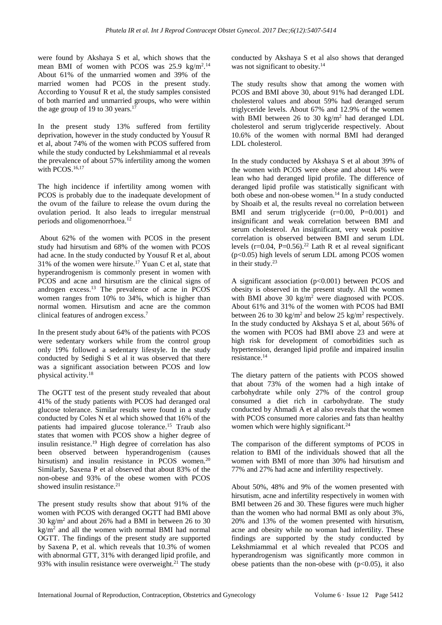were found by Akshaya S et al, which shows that the mean BMI of women with PCOS was  $25.9 \text{ kg/m}^2$ .<sup>14</sup> About 61% of the unmarried women and 39% of the married women had PCOS in the present study. According to Yousuf R et al, the study samples consisted of both married and unmarried groups, who were within the age group of 19 to 30 years.<sup>17</sup>

In the present study 13% suffered from fertility deprivation, however in the study conducted by Yousuf R et al, about 74% of the women with PCOS suffered from while the study conducted by Lekshmiammal et al reveals the prevalence of about 57% infertility among the women with PCOS.<sup>16,17</sup>

The high incidence if infertility among women with PCOS is probably due to the inadequate development of the ovum of the failure to release the ovum during the ovulation period. It also leads to irregular menstrual periods and oligomenorrhoea.<sup>12</sup>

About 62% of the women with PCOS in the present study had hirsutism and 68% of the women with PCOS had acne. In the study conducted by Yousuf R et al, about 31% of the women were hirsute.<sup>17</sup> Yuan C et al, state that hyperandrogenism is commonly present in women with PCOS and acne and hirsutism are the clinical signs of androgen excess.<sup>13</sup> The prevalence of acne in  $PCOS$ women ranges from 10% to 34%, which is higher than normal women. Hirsutism and acne are the common clinical features of androgen excess.<sup>7</sup>

In the present study about 64% of the patients with PCOS were sedentary workers while from the control group only 19% followed a sedentary lifestyle. In the study conducted by Sedighi S et al it was observed that there was a significant association between PCOS and low physical activity.<sup>18</sup>

The OGTT test of the present study revealed that about 41% of the study patients with PCOS had deranged oral glucose tolerance. Similar results were found in a study conducted by Coles N et al which showed that 16% of the patients had impaired glucose tolerance.<sup>15</sup> Traub also states that women with PCOS show a higher degree of insulin resistance.<sup>19</sup> High degree of correlation has also been observed between hyperandrogenism (causes hirsutism) and insulin resistance in PCOS women.<sup>20</sup> Similarly, Saxena P et al observed that about 83% of the non-obese and 93% of the obese women with PCOS showed insulin resistance. $21$ 

The present study results show that about 91% of the women with PCOS with deranged OGTT had BMI above  $30 \text{ kg/m}^2$  and about 26% had a BMI in between 26 to 30  $kg/m<sup>2</sup>$  and all the women with normal BMI had normal OGTT. The findings of the present study are supported by Saxena P, et al. which reveals that 10.3% of women with abnormal GTT, 31% with deranged lipid profile, and 93% with insulin resistance were overweight. $^{21}$  The study conducted by Akshaya S et al also shows that deranged was not significant to obesity.<sup>14</sup>

The study results show that among the women with PCOS and BMI above 30, about 91% had deranged LDL cholesterol values and about 59% had deranged serum triglyceride levels. About 67% and 12.9% of the women with BMI between 26 to 30 kg/m<sup>2</sup> had deranged LDL cholesterol and serum triglyceride respectively. About 10.6% of the women with normal BMI had deranged LDL cholesterol.

In the study conducted by Akshaya S et al about 39% of the women with PCOS were obese and about 14% were lean who had deranged lipid profile. The difference of deranged lipid profile was statistically significant with both obese and non-obese women.<sup>14</sup> In a study conducted by Shoaib et al, the results reveal no correlation between BMI and serum triglyceride (r=0.00, P=0.001) and insignificant and weak correlation between BMI and serum cholesterol. An insignificant, very weak positive correlation is observed between BMI and serum LDL levels ( $r=0.04$ ,  $P=0.56$ ).<sup>22</sup> Lath R et al reveal significant (p<0.05) high levels of serum LDL among PCOS women in their study.<sup>23</sup>

A significant association (p<0.001) between PCOS and obesity is observed in the present study. All the women with BMI above 30 kg/m<sup>2</sup> were diagnosed with PCOS. About 61% and 31% of the women with PCOS had BMI between 26 to 30 kg/m<sup>2</sup> and below 25 kg/m<sup>2</sup> respectively. In the study conducted by Akshaya S et al, about 56% of the women with PCOS had BMI above 23 and were at high risk for development of comorbidities such as hypertension, deranged lipid profile and impaired insulin resistance.<sup>14</sup>

The dietary pattern of the patients with PCOS showed that about 73% of the women had a high intake of carbohydrate while only 27% of the control group consumed a diet rich in carbohydrate. The study conducted by Ahmadi A et al also reveals that the women with PCOS consumed more calories and fats than healthy women which were highly significant.<sup>24</sup>

The comparison of the different symptoms of PCOS in relation to BMI of the individuals showed that all the women with BMI of more than 30% had hirsutism and 77% and 27% had acne and infertility respectively.

About 50%, 48% and 9% of the women presented with hirsutism, acne and infertility respectively in women with BMI between 26 and 30. These figures were much higher than the women who had normal BMI as only about 3%, 20% and 13% of the women presented with hirsutism, acne and obesity while no woman had infertility. These findings are supported by the study conducted by Lekshmiammal et al which revealed that PCOS and hyperandrogenism was significantly more common in obese patients than the non-obese with  $(p<0.05)$ , it also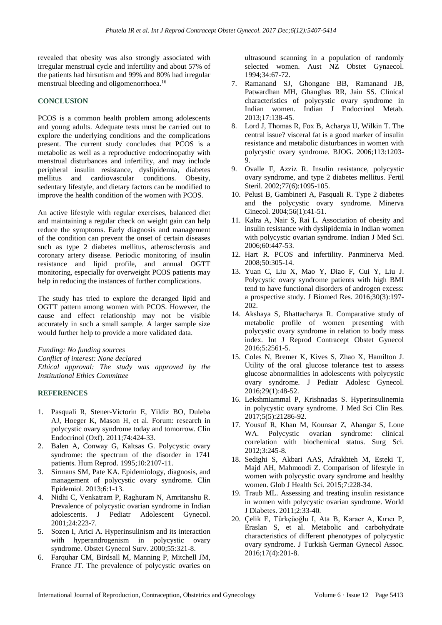revealed that obesity was also strongly associated with irregular menstrual cycle and infertility and about 57% of the patients had hirsutism and 99% and 80% had irregular menstrual bleeding and oligomenorrhoea.<sup>16</sup>

#### **CONCLUSION**

PCOS is a common health problem among adolescents and young adults. Adequate tests must be carried out to explore the underlying conditions and the complications present. The current study concludes that PCOS is a metabolic as well as a reproductive endocrinopathy with menstrual disturbances and infertility, and may include peripheral insulin resistance, dyslipidemia, diabetes mellitus and cardiovascular conditions. Obesity, sedentary lifestyle, and dietary factors can be modified to improve the health condition of the women with PCOS.

An active lifestyle with regular exercises, balanced diet and maintaining a regular check on weight gain can help reduce the symptoms. Early diagnosis and management of the condition can prevent the onset of certain diseases such as type 2 diabetes mellitus, atherosclerosis and coronary artery disease. Periodic monitoring of insulin resistance and lipid profile, and annual OGTT monitoring, especially for overweight PCOS patients may help in reducing the instances of further complications.

The study has tried to explore the deranged lipid and OGTT pattern among women with PCOS. However, the cause and effect relationship may not be visible accurately in such a small sample. A larger sample size would further help to provide a more validated data.

*Funding: No funding sources*

*Conflict of interest: None declared*

*Ethical approval: The study was approved by the Institutional Ethics Committee*

#### **REFERENCES**

- 1. Pasquali R, Stener-Victorin E, Yildiz BO, Duleba AJ, Hoeger K, Mason H, et al. Forum: research in polycystic ovary syndrome today and tomorrow. Clin Endocrinol (Oxf). 2011;74:424-33.
- 2. Balen A, Conway G, Kaltsas G. Polycystic ovary syndrome: the spectrum of the disorder in 1741 patients. Hum Reprod. 1995;10:2107-11.
- 3. Sirmans SM, Pate KA. Epidemiology, diagnosis, and management of polycystic ovary syndrome. Clin Epidemiol. 2013;6:1-13.
- 4. Nidhi C, Venkatram P, Raghuram N, Amritanshu R. Prevalence of polycystic ovarian syndrome in Indian adolescents. J Pediatr Adolescent Gynecol. 2001;24:223-7.
- 5. Sozen I, Arici A. Hyperinsulinism and its interaction with hyperandrogenism in polycystic ovary syndrome. Obstet Gynecol Surv. 2000;55:321-8.
- 6. Farquhar CM, Birdsall M, Manning P, Mitchell JM, France JT. The prevalence of polycystic ovaries on

ultrasound scanning in a population of randomly selected women. Aust NZ Obstet Gynaecol. 1994;34:67-72.

- 7. Ramanand SJ, Ghongane BB, Ramanand JB, Patwardhan MH, Ghanghas RR, Jain SS. Clinical characteristics of polycystic ovary syndrome in Indian women. Indian J Endocrinol Metab. 2013;17:138-45.
- 8. Lord J, Thomas R, Fox B, Acharya U, Wilkin T. The central issue? visceral fat is a good marker of insulin resistance and metabolic disturbances in women with polycystic ovary syndrome. BJOG. 2006;113:1203-  $\mathbf{Q}$
- 9. Ovalle F, Azziz R. Insulin resistance, polycystic ovary syndrome, and type 2 diabetes mellitus. Fertil Steril. 2002;77(6):1095-105.
- 10. Pelusi B, Gambineri A, Pasquali R. Type 2 diabetes and the polycystic ovary syndrome. Minerva Ginecol. 2004;56(1):41-51.
- 11. Kalra A, Nair S, Rai L. Association of obesity and insulin resistance with dyslipidemia in Indian women with polycystic ovarian syndrome. Indian J Med Sci. 2006;60:447-53.
- 12. Hart R. PCOS and infertility. Panminerva Med. 2008;50:305-14.
- 13. Yuan C, Liu X, Mao Y, Diao F, Cui Y, Liu J. Polycystic ovary syndrome patients with high BMI tend to have functional disorders of androgen excess: a prospective study. J Biomed Res. 2016;30(3):197- 202.
- 14. Akshaya S, Bhattacharya R. Comparative study of metabolic profile of women presenting with polycystic ovary syndrome in relation to body mass index. Int J Reprod Contracept Obstet Gynecol 2016;5:2561-5.
- 15. Coles N, Bremer K, Kives S, Zhao X, Hamilton J. Utility of the oral glucose tolerance test to assess glucose abnormalities in adolescents with polycystic ovary syndrome. J Pediatr Adolesc Gynecol. 2016;29(1):48-52.
- 16. Lekshmiammal P, Krishnadas S. Hyperinsulinemia in polycystic ovary syndrome. J Med Sci Clin Res. 2017;5(5):21286-92.
- 17. Yousuf R, Khan M, Kounsar Z, Ahangar S, Lone WA. Polycystic ovarian syndrome: clinical correlation with biochemical status. Surg Sci. 2012;3:245-8.
- 18. Sedighi S, Akbari AAS, Afrakhteh M, Esteki T, Majd AH, Mahmoodi Z. Comparison of lifestyle in women with polycystic ovary syndrome and healthy women. Glob J Health Sci. 2015;7:228-34.
- 19. Traub ML. Assessing and treating insulin resistance in women with polycystic ovarian syndrome. World J Diabetes. 2011;2:33-40.
- 20. Çelik E, Türkçüoğlu I, Ata B, Karaer A, Kırıcı P, Eraslan S, et al. Metabolic and carbohydrate characteristics of different phenotypes of polycystic ovary syndrome. J Turkish German Gynecol Assoc. 2016;17(4):201-8.